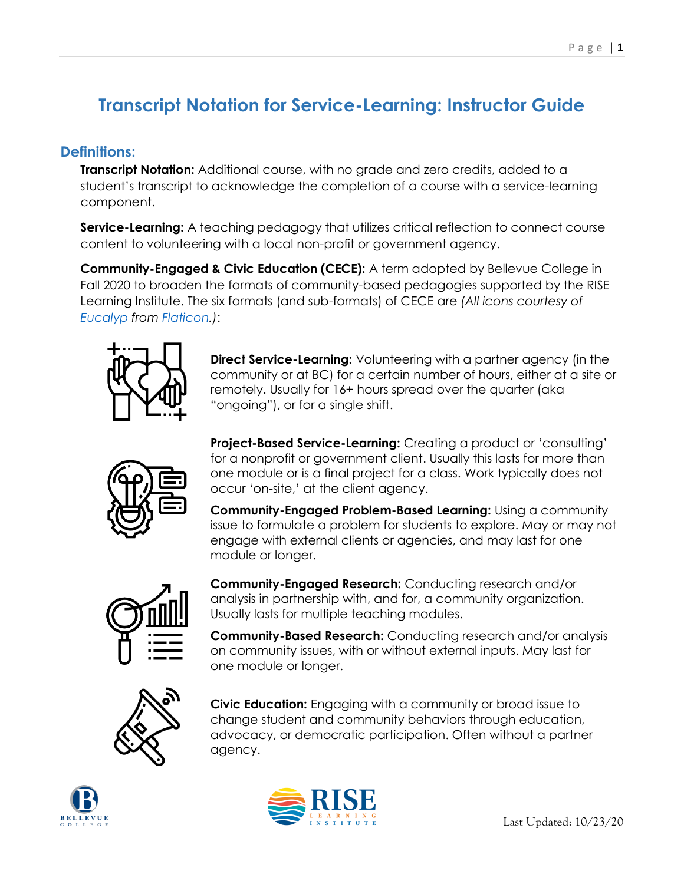# **Transcript Notation for Service-Learning: Instructor Guide**

### **Definitions:**

**Transcript Notation:** Additional course, with no grade and zero credits, added to a student's transcript to acknowledge the completion of a course with a service-learning component.

**Service-Learning:** A teaching pedagogy that utilizes critical reflection to connect course content to volunteering with a local non-profit or government agency.

**Community-Engaged & Civic Education (CECE):** A term adopted by Bellevue College in Fall 2020 to broaden the formats of community-based pedagogies supported by the RISE Learning Institute. The six formats (and sub-formats) of CECE are *(All icons courtesy of [Eucalyp](https://www.flaticon.com/authors/eucalyp) from [Flaticon.](http://www.flaticon.com/))*:



**Direct Service-Learning:** Volunteering with a partner agency (in the community or at BC) for a certain number of hours, either at a site or remotely. Usually for 16+ hours spread over the quarter (aka "ongoing"), or for a single shift.



**Project-Based Service-Learning:** Creating a product or 'consulting' for a nonprofit or government client. Usually this lasts for more than one module or is a final project for a class. Work typically does not occur 'on-site,' at the client agency.

**Community-Engaged Problem-Based Learning:** Using a community issue to formulate a problem for students to explore. May or may not engage with external clients or agencies, and may last for one module or longer.



**Community-Engaged Research:** Conducting research and/or analysis in partnership with, and for, a community organization. Usually lasts for multiple teaching modules.

**Community-Based Research:** Conducting research and/or analysis on community issues, with or without external inputs. May last for one module or longer.



**Civic Education:** Engaging with a community or broad issue to change student and community behaviors through education, advocacy, or democratic participation. Often without a partner agency.



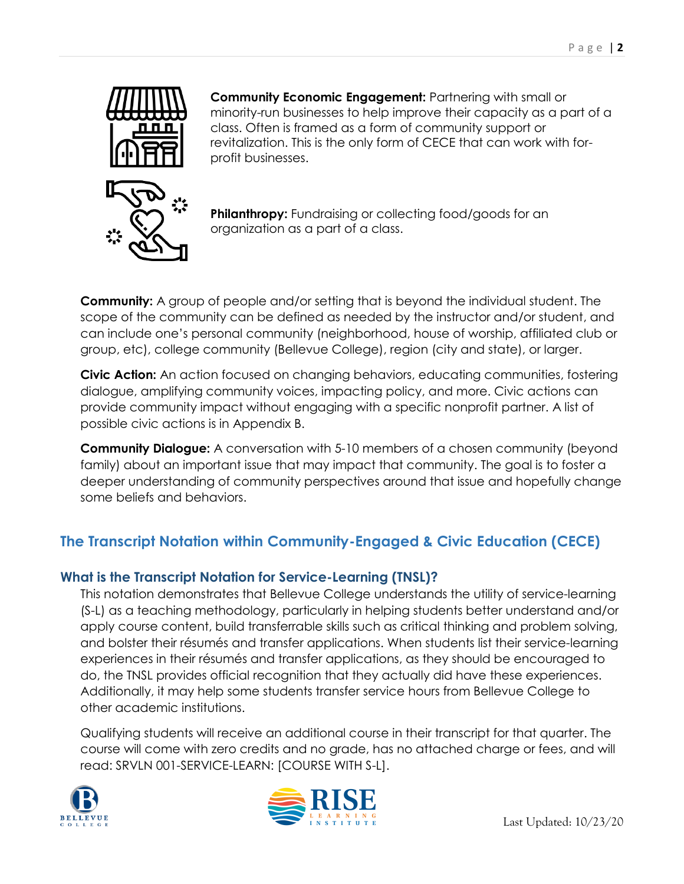

**Community Economic Engagement:** Partnering with small or minority-run businesses to help improve their capacity as a part of a class. Often is framed as a form of community support or revitalization. This is the only form of CECE that can work with forprofit businesses.

**Philanthropy:** Fundraising or collecting food/goods for an organization as a part of a class.

**Community:** A group of people and/or setting that is beyond the individual student. The scope of the community can be defined as needed by the instructor and/or student, and can include one's personal community (neighborhood, house of worship, affiliated club or group, etc), college community (Bellevue College), region (city and state), or larger.

**Civic Action:** An action focused on changing behaviors, educating communities, fostering dialogue, amplifying community voices, impacting policy, and more. Civic actions can provide community impact without engaging with a specific nonprofit partner. A list of possible civic actions is in Appendix B.

**Community Dialogue:** A conversation with 5-10 members of a chosen community (beyond family) about an important issue that may impact that community. The goal is to foster a deeper understanding of community perspectives around that issue and hopefully change some beliefs and behaviors.

## **The Transcript Notation within Community-Engaged & Civic Education (CECE)**

## **What is the Transcript Notation for Service-Learning (TNSL)?**

This notation demonstrates that Bellevue College understands the utility of service-learning (S-L) as a teaching methodology, particularly in helping students better understand and/or apply course content, build transferrable skills such as critical thinking and problem solving, and bolster their résumés and transfer applications. When students list their service-learning experiences in their résumés and transfer applications, as they should be encouraged to do, the TNSL provides official recognition that they actually did have these experiences. Additionally, it may help some students transfer service hours from Bellevue College to other academic institutions.

Qualifying students will receive an additional course in their transcript for that quarter. The course will come with zero credits and no grade, has no attached charge or fees, and will read: SRVLN 001-SERVICE-LEARN: [COURSE WITH S-L].



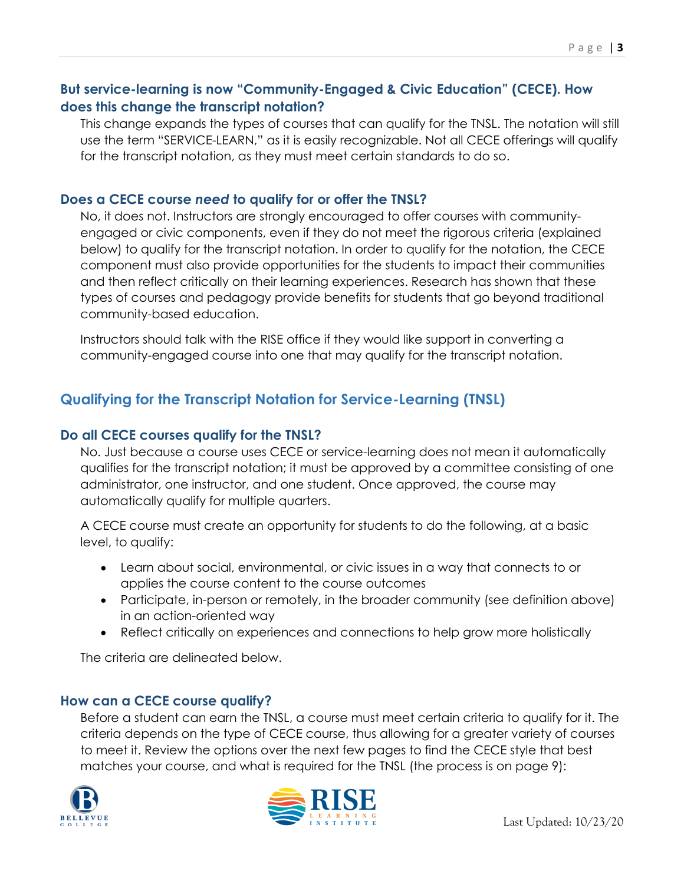#### **But service-learning is now "Community-Engaged & Civic Education" (CECE). How does this change the transcript notation?**

This change expands the types of courses that can qualify for the TNSL. The notation will still use the term "SERVICE-LEARN," as it is easily recognizable. Not all CECE offerings will qualify for the transcript notation, as they must meet certain standards to do so.

#### **Does a CECE course** *need* **to qualify for or offer the TNSL?**

No, it does not. Instructors are strongly encouraged to offer courses with communityengaged or civic components, even if they do not meet the rigorous criteria (explained below) to qualify for the transcript notation. In order to qualify for the notation, the CECE component must also provide opportunities for the students to impact their communities and then reflect critically on their learning experiences. Research has shown that these types of courses and pedagogy provide benefits for students that go beyond traditional community-based education.

Instructors should talk with the RISE office if they would like support in converting a community-engaged course into one that may qualify for the transcript notation.

## **Qualifying for the Transcript Notation for Service-Learning (TNSL)**

#### **Do all CECE courses qualify for the TNSL?**

No. Just because a course uses CECE or service-learning does not mean it automatically qualifies for the transcript notation; it must be approved by a committee consisting of one administrator, one instructor, and one student. Once approved, the course may automatically qualify for multiple quarters.

A CECE course must create an opportunity for students to do the following, at a basic level, to qualify:

- Learn about social, environmental, or civic issues in a way that connects to or applies the course content to the course outcomes
- Participate, in-person or remotely, in the broader community (see definition above) in an action-oriented way
- Reflect critically on experiences and connections to help grow more holistically

The criteria are delineated below.

#### **How can a CECE course qualify?**

Before a student can earn the TNSL, a course must meet certain criteria to qualify for it. The criteria depends on the type of CECE course, thus allowing for a greater variety of courses to meet it. Review the options over the next few pages to find the CECE style that best matches your course, and what is required for the TNSL (the process is on page 9):



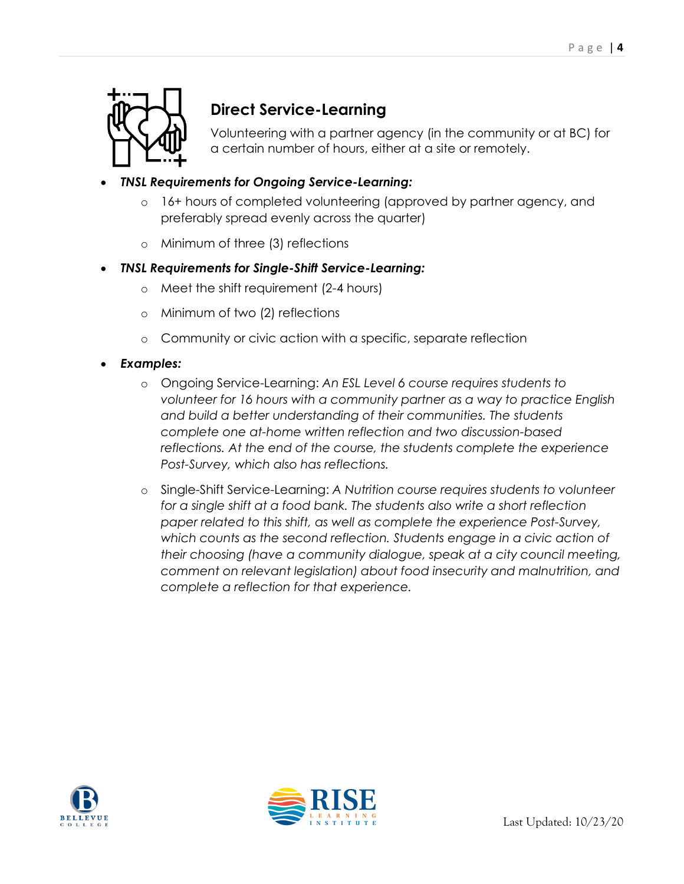

# **Direct Service-Learning**

Volunteering with a partner agency (in the community or at BC) for a certain number of hours, either at a site or remotely.

- *TNSL Requirements for Ongoing Service-Learning:*
	- o 16+ hours of completed volunteering (approved by partner agency, and preferably spread evenly across the quarter)
	- o Minimum of three (3) reflections
- *TNSL Requirements for Single-Shift Service-Learning:*
	- o Meet the shift requirement (2-4 hours)
	- o Minimum of two (2) reflections
	- o Community or civic action with a specific, separate reflection
- *Examples:*
	- o Ongoing Service-Learning: *An ESL Level 6 course requires students to volunteer for 16 hours with a community partner as a way to practice English and build a better understanding of their communities. The students complete one at-home written reflection and two discussion-based reflections. At the end of the course, the students complete the experience Post-Survey, which also has reflections.*
	- o Single-Shift Service-Learning: *A Nutrition course requires students to volunteer for a single shift at a food bank. The students also write a short reflection paper related to this shift, as well as complete the experience Post-Survey, which counts as the second reflection. Students engage in a civic action of their choosing (have a community dialogue, speak at a city council meeting, comment on relevant legislation) about food insecurity and malnutrition, and complete a reflection for that experience.*



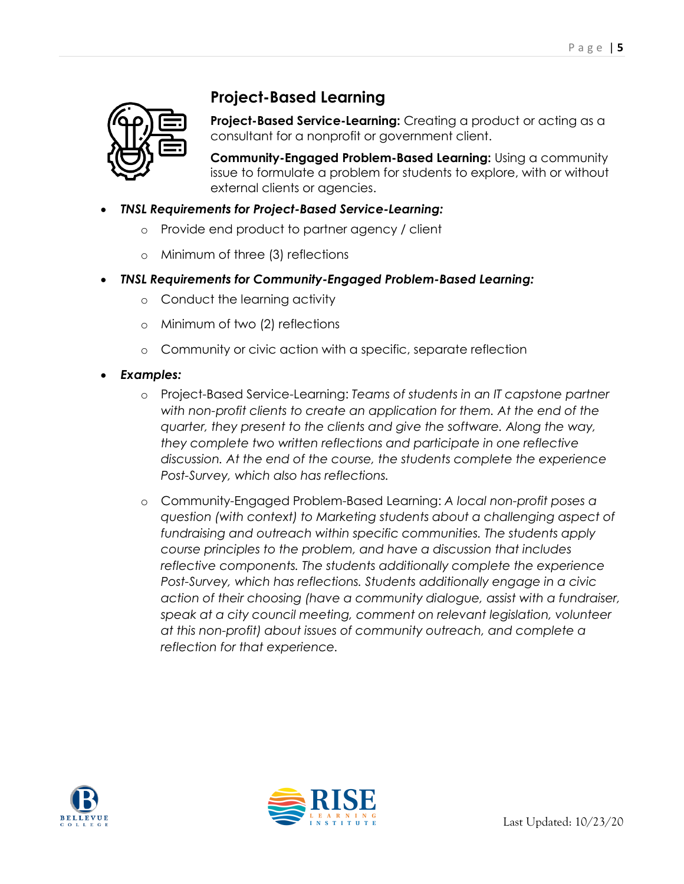

# **Project-Based Learning**

**Project-Based Service-Learning:** Creating a product or acting as a consultant for a nonprofit or government client.

**Community-Engaged Problem-Based Learning:** Using a community issue to formulate a problem for students to explore, with or without external clients or agencies.

- *TNSL Requirements for Project-Based Service-Learning:*
	- o Provide end product to partner agency / client
	- o Minimum of three (3) reflections
- *TNSL Requirements for Community-Engaged Problem-Based Learning:*
	- o Conduct the learning activity
	- o Minimum of two (2) reflections
	- o Community or civic action with a specific, separate reflection
- *Examples:*
	- o Project-Based Service-Learning: *Teams of students in an IT capstone partner*  with non-profit clients to create an application for them. At the end of the *quarter, they present to the clients and give the software. Along the way, they complete two written reflections and participate in one reflective discussion. At the end of the course, the students complete the experience Post-Survey, which also has reflections.*
	- o Community-Engaged Problem-Based Learning: *A local non-profit poses a question (with context) to Marketing students about a challenging aspect of fundraising and outreach within specific communities. The students apply course principles to the problem, and have a discussion that includes reflective components. The students additionally complete the experience Post-Survey, which has reflections. Students additionally engage in a civic action of their choosing (have a community dialogue, assist with a fundraiser, speak at a city council meeting, comment on relevant legislation, volunteer at this non-profit) about issues of community outreach, and complete a reflection for that experience.*



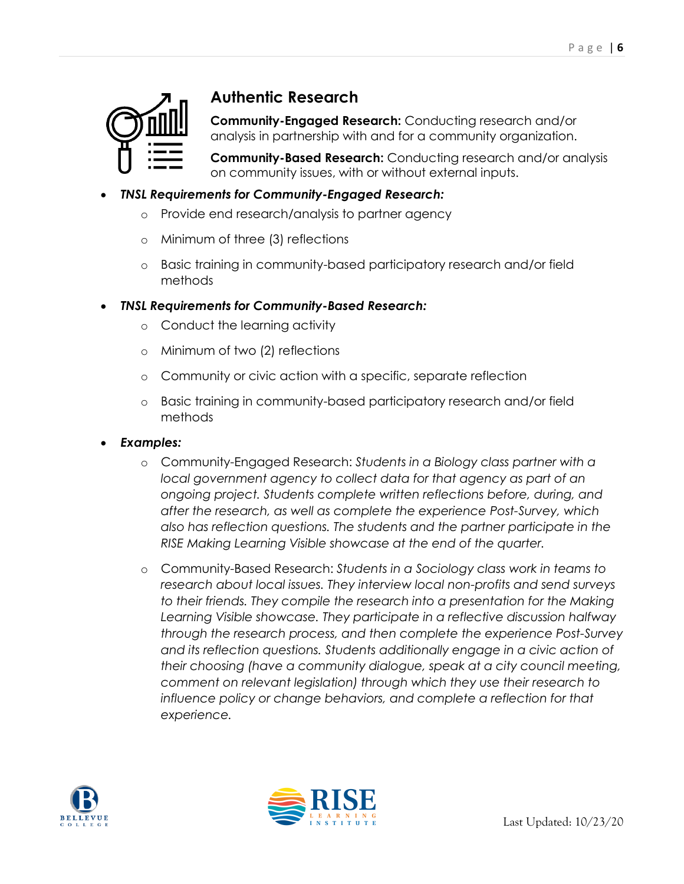

# **Authentic Research**

**Community-Engaged Research:** Conducting research and/or analysis in partnership with and for a community organization.

**Community-Based Research:** Conducting research and/or analysis on community issues, with or without external inputs.

#### *TNSL Requirements for Community-Engaged Research:*

- o Provide end research/analysis to partner agency
- o Minimum of three (3) reflections
- o Basic training in community-based participatory research and/or field methods
- *TNSL Requirements for Community-Based Research:*
	- o Conduct the learning activity
	- o Minimum of two (2) reflections
	- o Community or civic action with a specific, separate reflection
	- o Basic training in community-based participatory research and/or field methods
- *Examples:*
	- o Community-Engaged Research: *Students in a Biology class partner with a local government agency to collect data for that agency as part of an ongoing project. Students complete written reflections before, during, and after the research, as well as complete the experience Post-Survey, which also has reflection questions. The students and the partner participate in the RISE Making Learning Visible showcase at the end of the quarter.*
	- o Community-Based Research: *Students in a Sociology class work in teams to research about local issues. They interview local non-profits and send surveys*  to their friends. They compile the research into a presentation for the Making *Learning Visible showcase. They participate in a reflective discussion halfway through the research process, and then complete the experience Post-Survey and its reflection questions. Students additionally engage in a civic action of their choosing (have a community dialogue, speak at a city council meeting, comment on relevant legislation) through which they use their research to influence policy or change behaviors, and complete a reflection for that experience.*



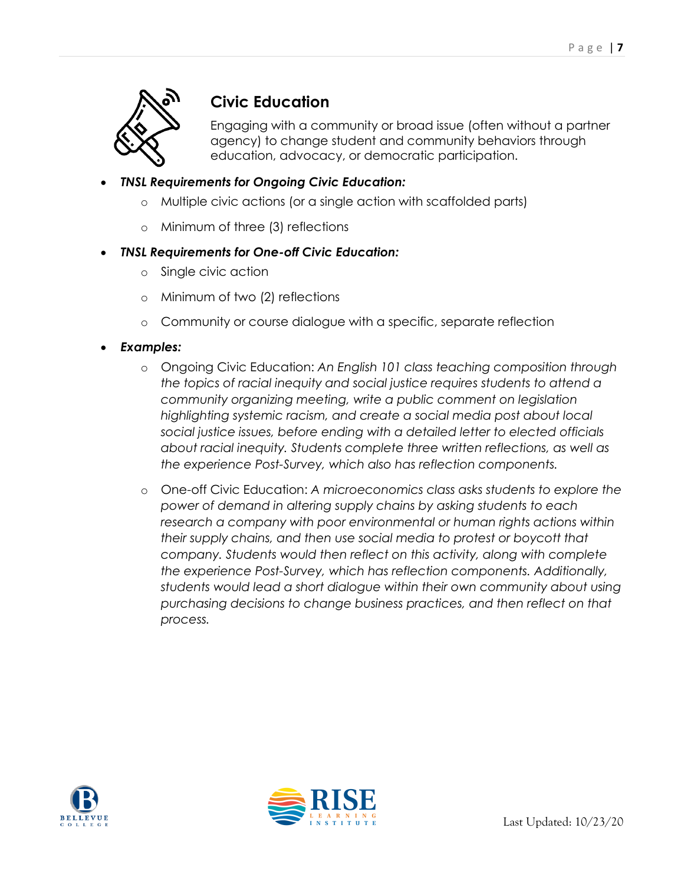

# **Civic Education**

Engaging with a community or broad issue (often without a partner agency) to change student and community behaviors through education, advocacy, or democratic participation.

- *TNSL Requirements for Ongoing Civic Education:*
	- o Multiple civic actions (or a single action with scaffolded parts)
	- o Minimum of three (3) reflections

### *TNSL Requirements for One-off Civic Education:*

- o Single civic action
- o Minimum of two (2) reflections
- o Community or course dialogue with a specific, separate reflection
- *Examples:*
	- o Ongoing Civic Education: *An English 101 class teaching composition through the topics of racial inequity and social justice requires students to attend a community organizing meeting, write a public comment on legislation highlighting systemic racism, and create a social media post about local social justice issues, before ending with a detailed letter to elected officials about racial inequity. Students complete three written reflections, as well as the experience Post-Survey, which also has reflection components.*
	- o One-off Civic Education: *A microeconomics class asks students to explore the power of demand in altering supply chains by asking students to each research a company with poor environmental or human rights actions within their supply chains, and then use social media to protest or boycott that company. Students would then reflect on this activity, along with complete the experience Post-Survey, which has reflection components. Additionally, students would lead a short dialogue within their own community about using purchasing decisions to change business practices, and then reflect on that process.*



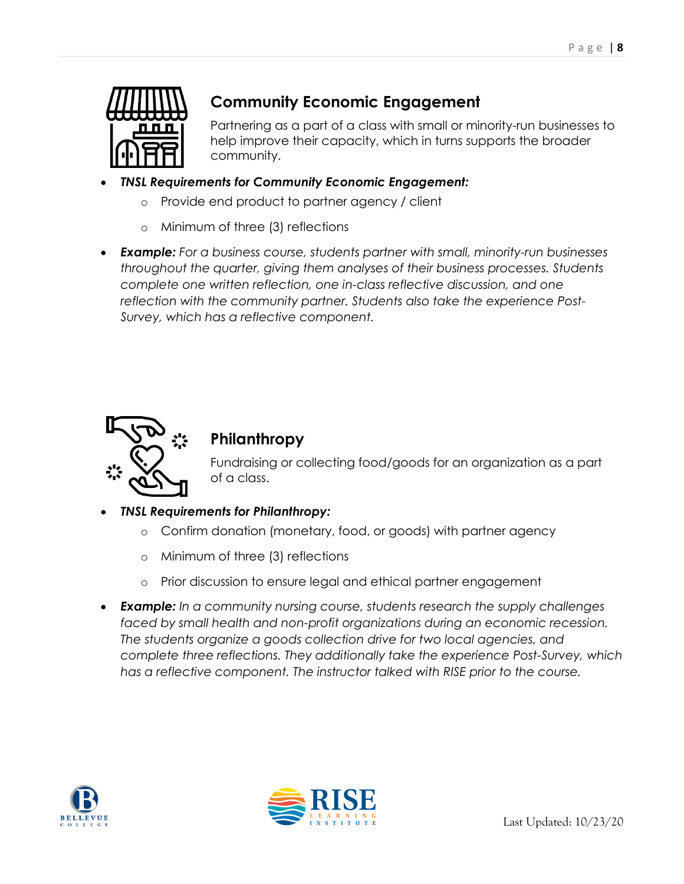

# **Community Economic Engagement**

Partnering as a part of a class with small or minority-run businesses to help improve their capacity, which in turns supports the broader community.

- *TNSL Requirements for Community Economic Engagement:*
	- o Provide end product to partner agency / client
	- o Minimum of three (3) reflections
- *Example: For a business course, students partner with small, minority-run businesses throughout the quarter, giving them analyses of their business processes. Students complete one written reflection, one in-class reflective discussion, and one reflection with the community partner. Students also take the experience Post-Survey, which has a reflective component.*



## **Philanthropy**

Fundraising or collecting food/goods for an organization as a part of a class.

*TNSL Requirements for Philanthropy:*

- o Confirm donation (monetary, food, or goods) with partner agency
- o Minimum of three (3) reflections
- o Prior discussion to ensure legal and ethical partner engagement
- *Example: In a community nursing course, students research the supply challenges*  faced by small health and non-profit organizations during an economic recession. *The students organize a goods collection drive for two local agencies, and complete three reflections. They additionally take the experience Post-Survey, which has a reflective component. The instructor talked with RISE prior to the course.*



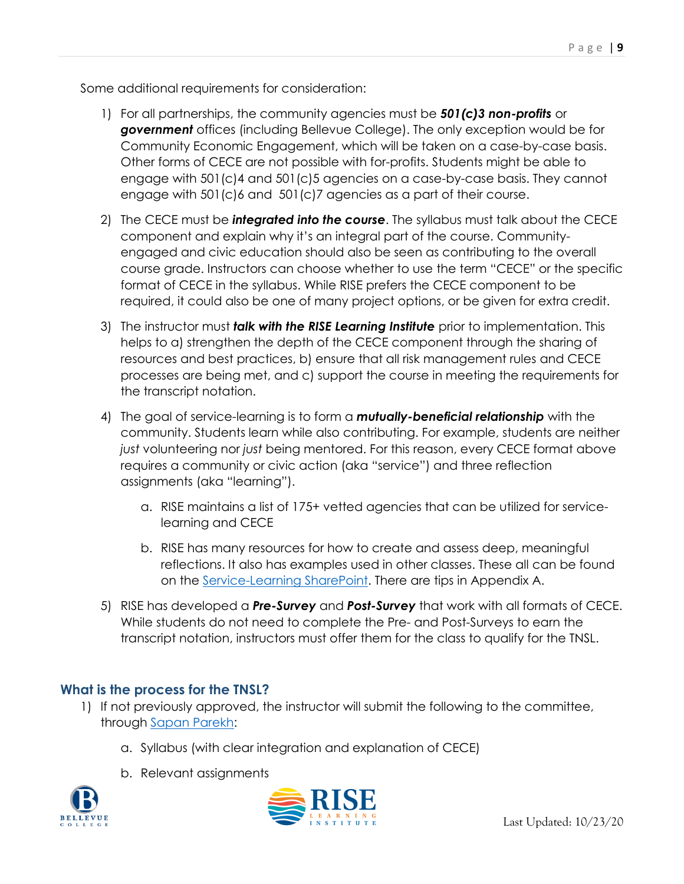Some additional requirements for consideration:

- 1) For all partnerships, the community agencies must be *501(c)3 non-profits* or *government* offices (including Bellevue College). The only exception would be for Community Economic Engagement, which will be taken on a case-by-case basis. Other forms of CECE are not possible with for-profits. Students might be able to engage with 501(c)4 and 501(c)5 agencies on a case-by-case basis. They cannot engage with 501(c)6 and 501(c)7 agencies as a part of their course.
- 2) The CECE must be *integrated into the course*. The syllabus must talk about the CECE component and explain why it's an integral part of the course. Communityengaged and civic education should also be seen as contributing to the overall course grade. Instructors can choose whether to use the term "CECE" or the specific format of CECE in the syllabus. While RISE prefers the CECE component to be required, it could also be one of many project options, or be given for extra credit.
- 3) The instructor must *talk with the RISE Learning Institute* prior to implementation. This helps to a) strengthen the depth of the CECE component through the sharing of resources and best practices, b) ensure that all risk management rules and CECE processes are being met, and c) support the course in meeting the requirements for the transcript notation.
- 4) The goal of service-learning is to form a *mutually-beneficial relationship* with the community. Students learn while also contributing. For example, students are neither *just* volunteering nor *just* being mentored. For this reason, every CECE format above requires a community or civic action (aka "service") and three reflection assignments (aka "learning").
	- a. RISE maintains a list of 175+ vetted agencies that can be utilized for servicelearning and CECE
	- b. RISE has many resources for how to create and assess deep, meaningful reflections. It also has examples used in other classes. These all can be found on the [Service-Learning SharePoint.](https://bellevuec.sharepoint.com/teams/Service-Learning) There are tips in Appendix A.
- 5) RISE has developed a *Pre-Survey* and *Post-Survey* that work with all formats of CECE. While students do not need to complete the Pre- and Post-Surveys to earn the transcript notation, instructors must offer them for the class to qualify for the TNSL.

### **What is the process for the TNSL?**

- 1) If not previously approved, the instructor will submit the following to the committee, through [Sapan Parekh:](mailto:sapan.parekh@bellevuecollege.edu)
	- a. Syllabus (with clear integration and explanation of CECE)
	- b. Relevant assignments



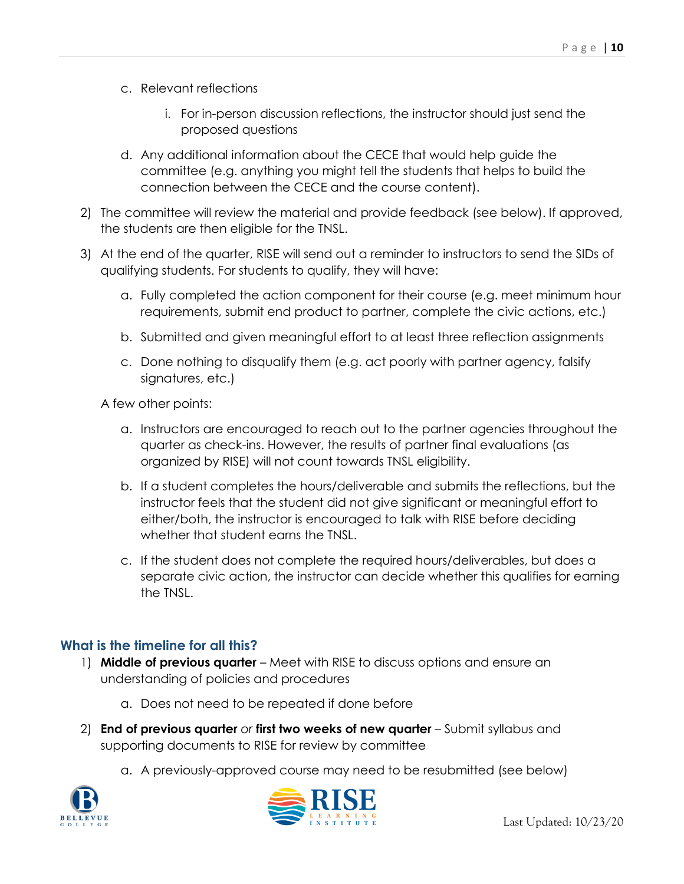- c. Relevant reflections
	- i. For in-person discussion reflections, the instructor should just send the proposed questions
- d. Any additional information about the CECE that would help guide the committee (e.g. anything you might tell the students that helps to build the connection between the CECE and the course content).
- 2) The committee will review the material and provide feedback (see below). If approved, the students are then eligible for the TNSL.
- 3) At the end of the quarter, RISE will send out a reminder to instructors to send the SIDs of qualifying students. For students to qualify, they will have:
	- a. Fully completed the action component for their course (e.g. meet minimum hour requirements, submit end product to partner, complete the civic actions, etc.)
	- b. Submitted and given meaningful effort to at least three reflection assignments
	- c. Done nothing to disqualify them (e.g. act poorly with partner agency, falsify signatures, etc.)

A few other points:

- a. Instructors are encouraged to reach out to the partner agencies throughout the quarter as check-ins. However, the results of partner final evaluations (as organized by RISE) will not count towards TNSL eligibility.
- b. If a student completes the hours/deliverable and submits the reflections, but the instructor feels that the student did not give significant or meaningful effort to either/both, the instructor is encouraged to talk with RISE before deciding whether that student earns the TNSL.
- c. If the student does not complete the required hours/deliverables, but does a separate civic action, the instructor can decide whether this qualifies for earning the TNSL.

#### **What is the timeline for all this?**

- 1) **Middle of previous quarter**  Meet with RISE to discuss options and ensure an understanding of policies and procedures
	- a. Does not need to be repeated if done before
- 2) **End of previous quarter** *or* **first two weeks of new quarter**  Submit syllabus and supporting documents to RISE for review by committee
	- a. A previously-approved course may need to be resubmitted (see below)



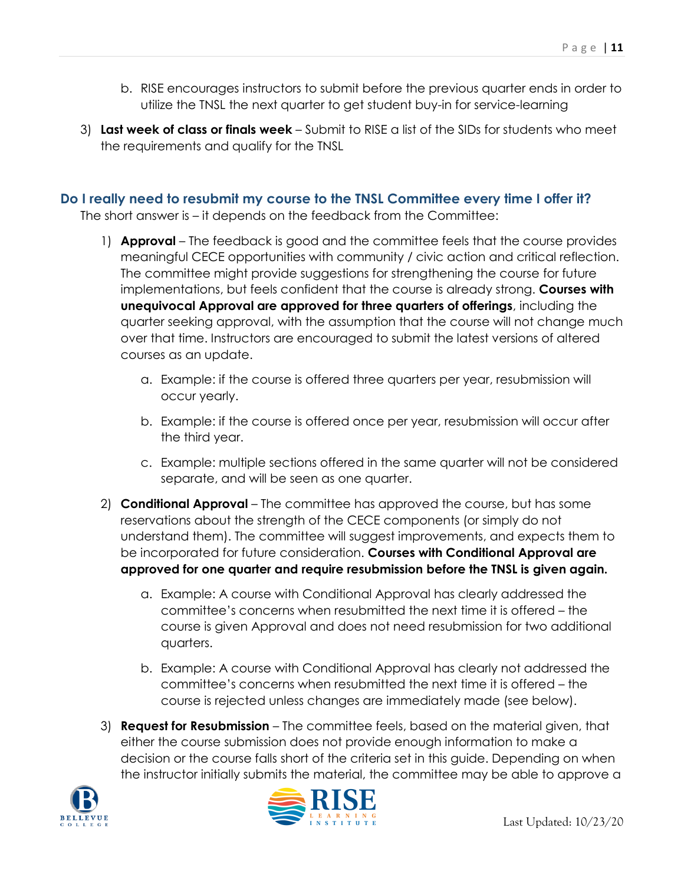- b. RISE encourages instructors to submit before the previous quarter ends in order to utilize the TNSL the next quarter to get student buy-in for service-learning
- 3) **Last week of class or finals week** Submit to RISE a list of the SIDs for students who meet the requirements and qualify for the TNSL

#### **Do I really need to resubmit my course to the TNSL Committee every time I offer it?**

The short answer is – it depends on the feedback from the Committee:

- 1) **Approval** The feedback is good and the committee feels that the course provides meaningful CECE opportunities with community / civic action and critical reflection. The committee might provide suggestions for strengthening the course for future implementations, but feels confident that the course is already strong. **Courses with unequivocal Approval are approved for three quarters of offerings**, including the quarter seeking approval, with the assumption that the course will not change much over that time. Instructors are encouraged to submit the latest versions of altered courses as an update.
	- a. Example: if the course is offered three quarters per year, resubmission will occur yearly.
	- b. Example: if the course is offered once per year, resubmission will occur after the third year.
	- c. Example: multiple sections offered in the same quarter will not be considered separate, and will be seen as one quarter.
- 2) **Conditional Approval** The committee has approved the course, but has some reservations about the strength of the CECE components (or simply do not understand them). The committee will suggest improvements, and expects them to be incorporated for future consideration. **Courses with Conditional Approval are approved for one quarter and require resubmission before the TNSL is given again.**
	- a. Example: A course with Conditional Approval has clearly addressed the committee's concerns when resubmitted the next time it is offered – the course is given Approval and does not need resubmission for two additional quarters.
	- b. Example: A course with Conditional Approval has clearly not addressed the committee's concerns when resubmitted the next time it is offered – the course is rejected unless changes are immediately made (see below).
- 3) **Request for Resubmission** The committee feels, based on the material given, that either the course submission does not provide enough information to make a decision or the course falls short of the criteria set in this guide. Depending on when the instructor initially submits the material, the committee may be able to approve a



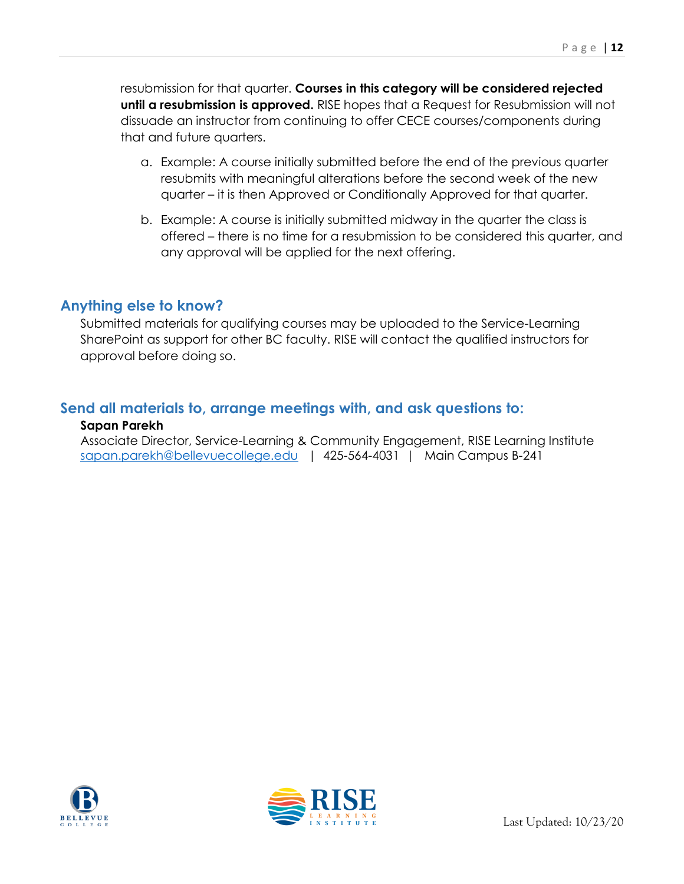resubmission for that quarter. **Courses in this category will be considered rejected until a resubmission is approved.** RISE hopes that a Request for Resubmission will not dissuade an instructor from continuing to offer CECE courses/components during that and future quarters.

- a. Example: A course initially submitted before the end of the previous quarter resubmits with meaningful alterations before the second week of the new quarter – it is then Approved or Conditionally Approved for that quarter.
- b. Example: A course is initially submitted midway in the quarter the class is offered – there is no time for a resubmission to be considered this quarter, and any approval will be applied for the next offering.

### **Anything else to know?**

Submitted materials for qualifying courses may be uploaded to the Service-Learning SharePoint as support for other BC faculty. RISE will contact the qualified instructors for approval before doing so.

### **Send all materials to, arrange meetings with, and ask questions to:**

#### **Sapan Parekh**

Associate Director, Service-Learning & Community Engagement, RISE Learning Institute [sapan.parekh@bellevuecollege.edu](mailto:sapan.parekh@bellevuecollege.edu) | 425-564-4031 | Main Campus B-241



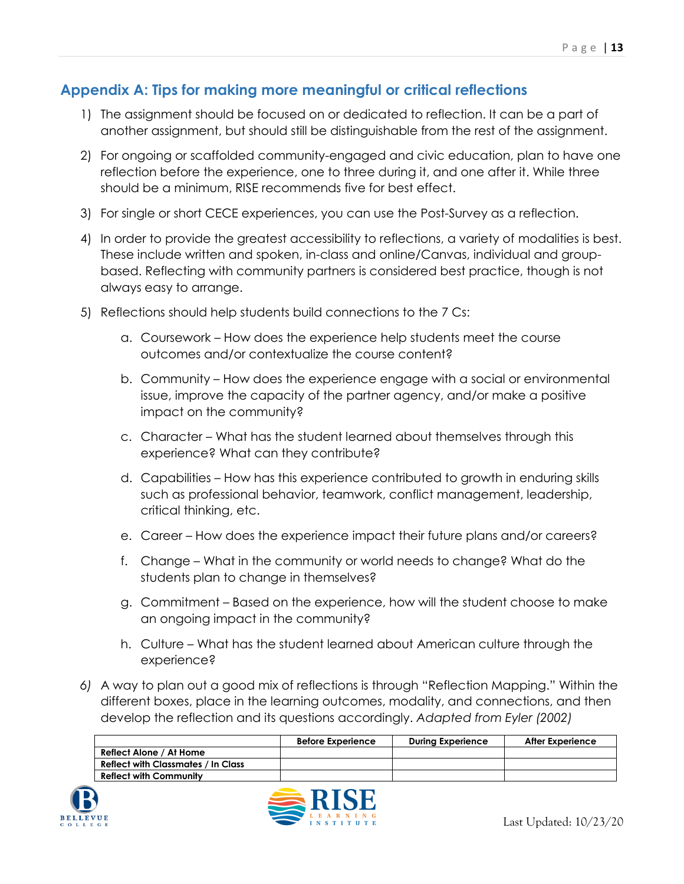### **Appendix A: Tips for making more meaningful or critical reflections**

- 1) The assignment should be focused on or dedicated to reflection. It can be a part of another assignment, but should still be distinguishable from the rest of the assignment.
- 2) For ongoing or scaffolded community-engaged and civic education, plan to have one reflection before the experience, one to three during it, and one after it. While three should be a minimum, RISE recommends five for best effect.
- 3) For single or short CECE experiences, you can use the Post-Survey as a reflection.
- 4) In order to provide the greatest accessibility to reflections, a variety of modalities is best. These include written and spoken, in-class and online/Canvas, individual and groupbased. Reflecting with community partners is considered best practice, though is not always easy to arrange.
- 5) Reflections should help students build connections to the 7 Cs:
	- a. Coursework How does the experience help students meet the course outcomes and/or contextualize the course content?
	- b. Community How does the experience engage with a social or environmental issue, improve the capacity of the partner agency, and/or make a positive impact on the community?
	- c. Character What has the student learned about themselves through this experience? What can they contribute?
	- d. Capabilities How has this experience contributed to growth in enduring skills such as professional behavior, teamwork, conflict management, leadership, critical thinking, etc.
	- e. Career How does the experience impact their future plans and/or careers?
	- f. Change What in the community or world needs to change? What do the students plan to change in themselves?
	- g. Commitment Based on the experience, how will the student choose to make an ongoing impact in the community?
	- h. Culture What has the student learned about American culture through the experience?
- *6)* A way to plan out a good mix of reflections is through "Reflection Mapping." Within the different boxes, place in the learning outcomes, modality, and connections, and then develop the reflection and its questions accordingly. *Adapted from Eyler (2002)*

|                                           | <b>Before Experience</b> | <b>During Experience</b> | <b>After Experience</b> |
|-------------------------------------------|--------------------------|--------------------------|-------------------------|
| Reflect Alone / At Home                   |                          |                          |                         |
| <b>Reflect with Classmates / In Class</b> |                          |                          |                         |
| <b>Reflect with Community</b>             |                          |                          |                         |



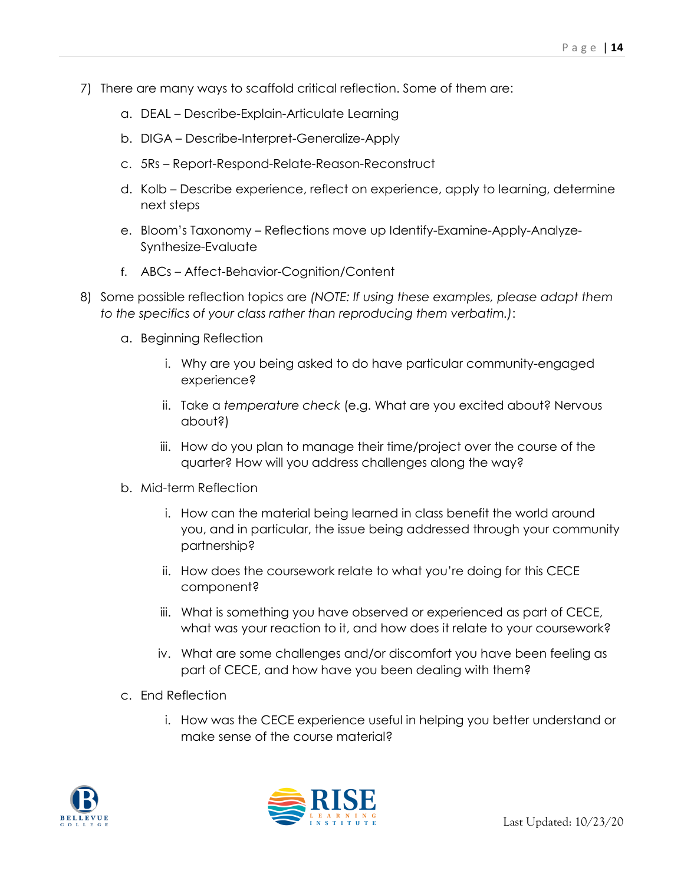- 7) There are many ways to scaffold critical reflection. Some of them are:
	- a. DEAL Describe-Explain-Articulate Learning
	- b. DIGA Describe-Interpret-Generalize-Apply
	- c. 5Rs Report-Respond-Relate-Reason-Reconstruct
	- d. Kolb Describe experience, reflect on experience, apply to learning, determine next steps
	- e. Bloom's Taxonomy Reflections move up Identify-Examine-Apply-Analyze-Synthesize-Evaluate
	- f. ABCs Affect-Behavior-Cognition/Content
- 8) Some possible reflection topics are *(NOTE: If using these examples, please adapt them to the specifics of your class rather than reproducing them verbatim.)*:
	- a. Beginning Reflection
		- i. Why are you being asked to do have particular community-engaged experience?
		- ii. Take a *temperature check* (e.g. What are you excited about? Nervous about?)
		- iii. How do you plan to manage their time/project over the course of the quarter? How will you address challenges along the way?
	- b. Mid-term Reflection
		- i. How can the material being learned in class benefit the world around you, and in particular, the issue being addressed through your community partnership?
		- ii. How does the coursework relate to what you're doing for this CECE component?
		- iii. What is something you have observed or experienced as part of CECE, what was your reaction to it, and how does it relate to your coursework?
		- iv. What are some challenges and/or discomfort you have been feeling as part of CECE, and how have you been dealing with them?
	- c. End Reflection
		- i. How was the CECE experience useful in helping you better understand or make sense of the course material?



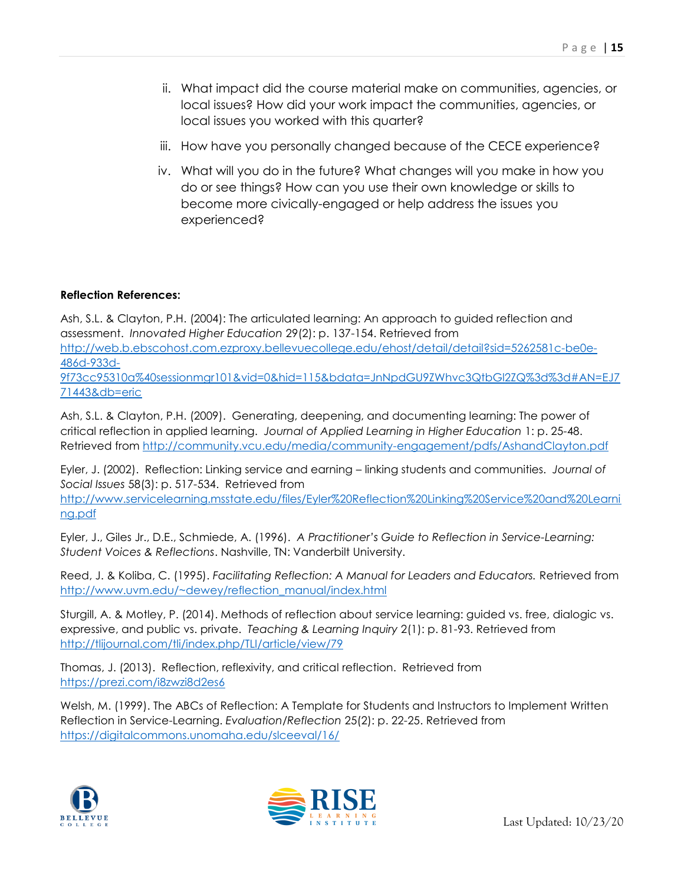- ii. What impact did the course material make on communities, agencies, or local issues? How did your work impact the communities, agencies, or local issues you worked with this quarter?
- iii. How have you personally changed because of the CECE experience?
- iv. What will you do in the future? What changes will you make in how you do or see things? How can you use their own knowledge or skills to become more civically-engaged or help address the issues you experienced?

#### **Reflection References:**

Ash, S.L. & Clayton, P.H. (2004): The articulated learning: An approach to guided reflection and assessment. *Innovated Higher Education* 29(2): p. 137-154. Retrieved from [http://web.b.ebscohost.com.ezproxy.bellevuecollege.edu/ehost/detail/detail?sid=5262581c-be0e-](http://web.b.ebscohost.com.ezproxy.bellevuecollege.edu/ehost/detail/detail?sid=5262581c-be0e-486d-933d-9f73cc95310a@sessionmgr101&vid=0&hid=115&bdata=JnNpdGU9ZWhvc3QtbGl2ZQ%3d%3d)

[486d-933d-](http://web.b.ebscohost.com.ezproxy.bellevuecollege.edu/ehost/detail/detail?sid=5262581c-be0e-486d-933d-9f73cc95310a@sessionmgr101&vid=0&hid=115&bdata=JnNpdGU9ZWhvc3QtbGl2ZQ%3d%3d)

[9f73cc95310a%40sessionmgr101&vid=0&hid=115&bdata=JnNpdGU9ZWhvc3QtbGl2ZQ%3d%3d#AN=EJ7](http://web.b.ebscohost.com.ezproxy.bellevuecollege.edu/ehost/detail/detail?sid=5262581c-be0e-486d-933d-9f73cc95310a@sessionmgr101&vid=0&hid=115&bdata=JnNpdGU9ZWhvc3QtbGl2ZQ%3d%3d) [71443&db=eric](http://web.b.ebscohost.com.ezproxy.bellevuecollege.edu/ehost/detail/detail?sid=5262581c-be0e-486d-933d-9f73cc95310a@sessionmgr101&vid=0&hid=115&bdata=JnNpdGU9ZWhvc3QtbGl2ZQ%3d%3d)

Ash, S.L. & Clayton, P.H. (2009). Generating, deepening, and documenting learning: The power of critical reflection in applied learning. *Journal of Applied Learning in Higher Education* 1: p. 25-48. Retrieved from<http://community.vcu.edu/media/community-engagement/pdfs/AshandClayton.pdf>

Eyler, J. (2002). Reflection: Linking service and earning – linking students and communities. *Journal of Social Issues* 58(3): p. 517-534. Retrieved from

[http://www.servicelearning.msstate.edu/files/Eyler%20Reflection%20Linking%20Service%20and%20Learni](http://www.servicelearning.msstate.edu/files/Eyler%20Reflection%20Linking%20Service%20and%20Learning.pdf) [ng.pdf](http://www.servicelearning.msstate.edu/files/Eyler%20Reflection%20Linking%20Service%20and%20Learning.pdf) 

Eyler, J., Giles Jr., D.E., Schmiede, A. (1996). *A Practitioner's Guide to Reflection in Service-Learning: Student Voices & Reflections*. Nashville, TN: Vanderbilt University.

Reed, J. & Koliba, C. (1995). *Facilitating Reflection: A Manual for Leaders and Educators.* Retrieved from [http://www.uvm.edu/~dewey/reflection\\_manual/index.html](http://www.uvm.edu/~dewey/reflection_manual/index.html)

Sturgill, A. & Motley, P. (2014). Methods of reflection about service learning: guided vs. free, dialogic vs. expressive, and public vs. private. *Teaching & Learning Inquiry* 2(1): p. 81-93. Retrieved from <http://tlijournal.com/tli/index.php/TLI/article/view/79>

Thomas, J. (2013). Reflection, reflexivity, and critical reflection. Retrieved from <https://prezi.com/i8zwzi8d2es6>

Welsh, M. (1999). The ABCs of Reflection: A Template for Students and Instructors to Implement Written Reflection in Service-Learning. *Evaluation/Reflection* 25(2): p. 22-25. Retrieved from [https://digitalcommons.unomaha.edu/slceeval/16/](https://digitalcommons.unomaha.edu/slceeval/16/?utm_source=digitalcommons.unomaha.edu%2Fslceeval%2F16&utm_medium=PDF&utm_campaign=PDFCoverPages)